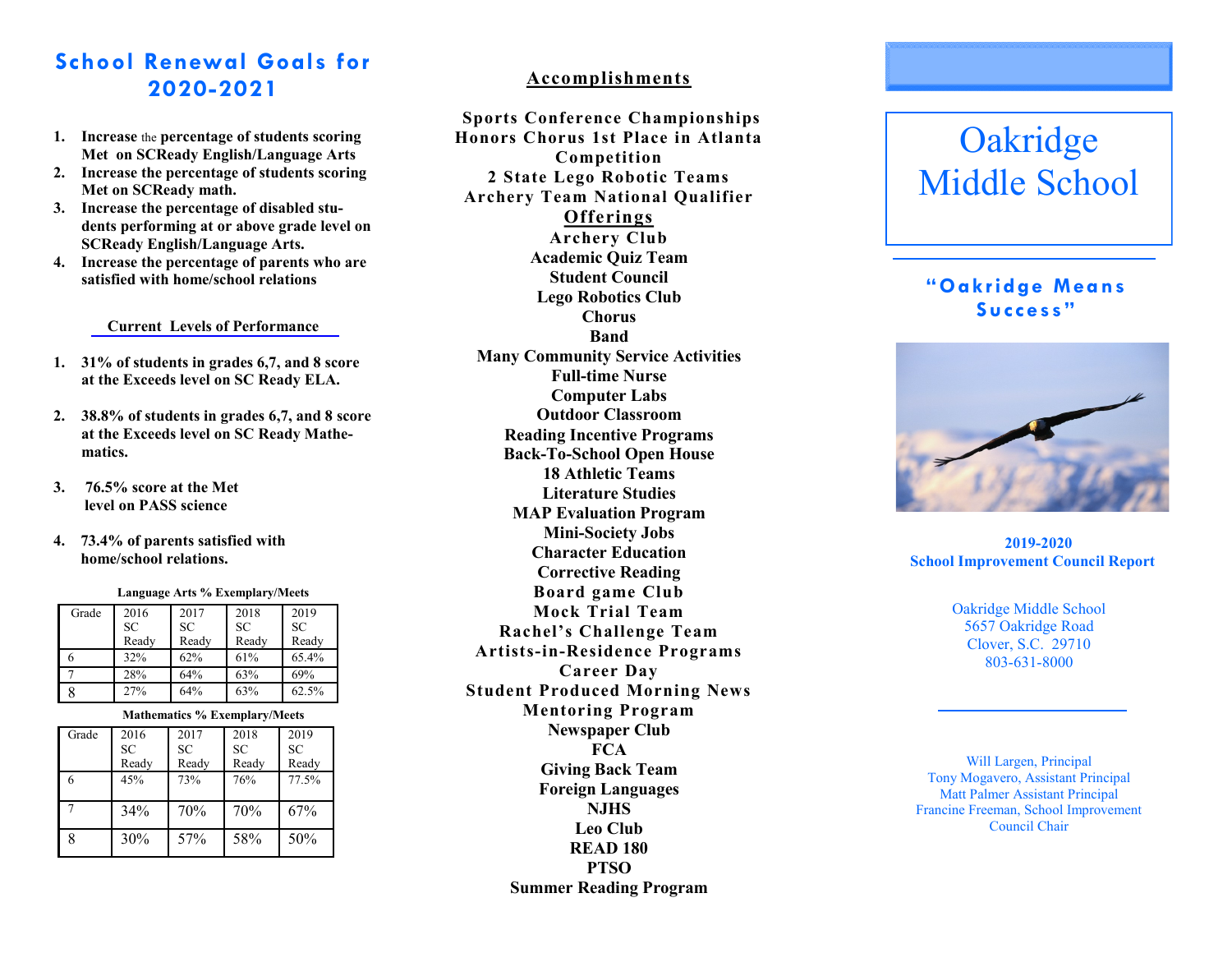# **School Renewal Goals for 2020 -2021**

- **1. Increase** the **percentage of students scoring Met on SCReady English/Language Arts**
- **2. Increase the percentage of students scoring Met on SCReady math.**
- **3. Increase the percentage of disabled students performing at or above grade level on SCReady English/Language Arts.**
- **4. Increase the percentage of parents who are satisfied with home/school relations**

#### **Current Levels of Performance**

- **1. 31% of students in grades 6,7, and 8 score at the Exceeds level on SC Ready ELA.**
- **2. 38.8% of students in grades 6,7, and 8 score at the Exceeds level on SC Ready Mathematics.**
- **3. 76.5% score at the Met level on PASS science**
- **4. 73.4% of parents satisfied with home/school relations.**

**Language Arts % Exemplary/Meets**

| Grade | 2016      | 2017      | 2018      | 2019      |
|-------|-----------|-----------|-----------|-----------|
|       | <b>SC</b> | <b>SC</b> | <b>SC</b> | <b>SC</b> |
|       | Ready     | Ready     | Ready     | Ready     |
|       | 32%       | 62%       | 61%       | 65.4%     |
|       | 28%       | 64%       | 63%       | 69%       |
|       | 27%       | 64%       | 63%       | 62.5%     |

#### **Mathematics % Exemplary/Meets**

| Grade | 2016  | 2017  | 2018  | 2019  |
|-------|-------|-------|-------|-------|
|       | SC    | SC    | SC    | SC    |
|       | Ready | Ready | Ready | Ready |
| 6     | 45%   | 73%   | 76%   | 77.5% |
|       | 34%   | 70%   | 70%   | 67%   |
| 8     | 30%   | 57%   | 58%   | 50%   |

# **Accomplishments**

**Sports Conference Championships Honors Chorus 1st Place in Atlanta Competition 2 State Lego Robotic Teams Archery Team National Qualifier Offerings Archery Club Academic Quiz Team Student Council Lego Robotics Club Chorus Band Many Community Service Activities Full -time Nurse Computer Labs Outdoor Classroom Reading Incentive Programs Back -To -School Open House 18 Athletic Teams Literature Studies MAP Evaluation Program Mini -Society Jobs Character Education Corrective Reading Board game Club Mock Trial Team Rachel's Challenge Team Artists -in -Residence Programs Career Day Student Produced Morning News Mentoring Program Newspaper Club FCA Giving Back Team Foreign Languages NJHS Leo Club READ 180 PTSO Summer Reading Program**

# **Oakridge** Middle School

# **"Oakridge Means Success"**



 **2019 -2020 School Improvement Council Report**

> Oakridge Middle School 5657 Oakridge Road Clover, S.C. 29710 803 -631 -8000

Will Largen, Principal Tony Mogavero, Assistant Principal Matt Palmer Assistant Principal Francine Freeman, School Improvement Council Chair